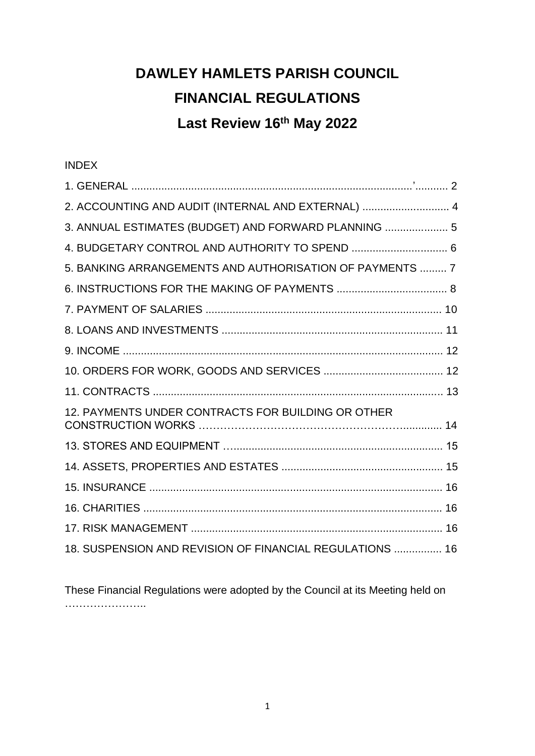# **DAWLEY HAMLETS PARISH COUNCIL FINANCIAL REGULATIONS Last Review 16th May 2022**

INDEX

| 2. ACCOUNTING AND AUDIT (INTERNAL AND EXTERNAL)  4       |
|----------------------------------------------------------|
| 3. ANNUAL ESTIMATES (BUDGET) AND FORWARD PLANNING  5     |
| 4. BUDGETARY CONTROL AND AUTHORITY TO SPEND  6           |
| 5. BANKING ARRANGEMENTS AND AUTHORISATION OF PAYMENTS  7 |
|                                                          |
|                                                          |
|                                                          |
|                                                          |
|                                                          |
|                                                          |
| 12. PAYMENTS UNDER CONTRACTS FOR BUILDING OR OTHER       |
|                                                          |
|                                                          |
|                                                          |
|                                                          |
|                                                          |
| 18. SUSPENSION AND REVISION OF FINANCIAL REGULATIONS  16 |

These Financial Regulations were adopted by the Council at its Meeting held on ……………………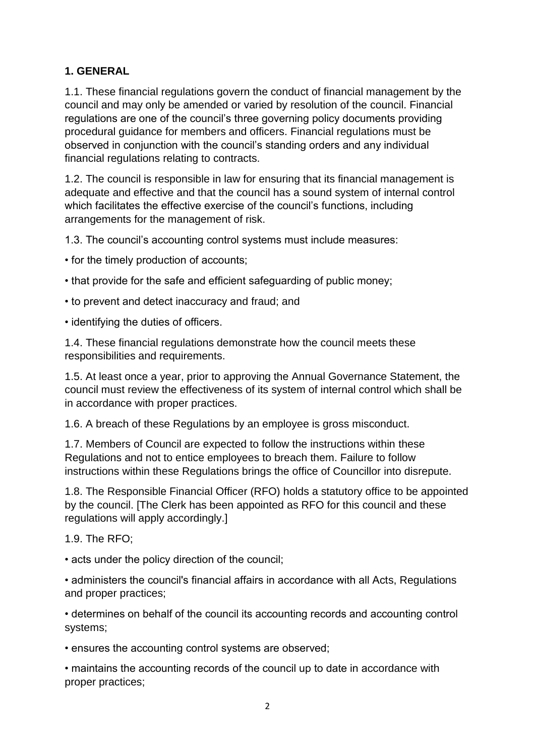## **1. GENERAL**

1.1. These financial regulations govern the conduct of financial management by the council and may only be amended or varied by resolution of the council. Financial regulations are one of the council's three governing policy documents providing procedural guidance for members and officers. Financial regulations must be observed in conjunction with the council's standing orders and any individual financial regulations relating to contracts.

1.2. The council is responsible in law for ensuring that its financial management is adequate and effective and that the council has a sound system of internal control which facilitates the effective exercise of the council's functions, including arrangements for the management of risk.

1.3. The council's accounting control systems must include measures:

• for the timely production of accounts;

- that provide for the safe and efficient safeguarding of public money;
- to prevent and detect inaccuracy and fraud; and

• identifying the duties of officers.

1.4. These financial regulations demonstrate how the council meets these responsibilities and requirements.

1.5. At least once a year, prior to approving the Annual Governance Statement, the council must review the effectiveness of its system of internal control which shall be in accordance with proper practices.

1.6. A breach of these Regulations by an employee is gross misconduct.

1.7. Members of Council are expected to follow the instructions within these Regulations and not to entice employees to breach them. Failure to follow instructions within these Regulations brings the office of Councillor into disrepute.

1.8. The Responsible Financial Officer (RFO) holds a statutory office to be appointed by the council. [The Clerk has been appointed as RFO for this council and these regulations will apply accordingly.]

1.9. The RFO;

• acts under the policy direction of the council;

• administers the council's financial affairs in accordance with all Acts, Regulations and proper practices;

• determines on behalf of the council its accounting records and accounting control systems;

• ensures the accounting control systems are observed;

• maintains the accounting records of the council up to date in accordance with proper practices;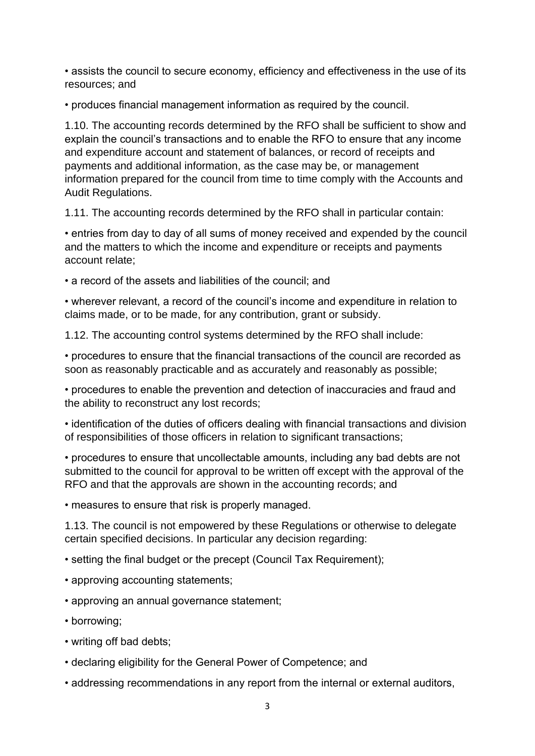• assists the council to secure economy, efficiency and effectiveness in the use of its resources; and

• produces financial management information as required by the council.

1.10. The accounting records determined by the RFO shall be sufficient to show and explain the council's transactions and to enable the RFO to ensure that any income and expenditure account and statement of balances, or record of receipts and payments and additional information, as the case may be, or management information prepared for the council from time to time comply with the Accounts and Audit Regulations.

1.11. The accounting records determined by the RFO shall in particular contain:

• entries from day to day of all sums of money received and expended by the council and the matters to which the income and expenditure or receipts and payments account relate;

• a record of the assets and liabilities of the council; and

• wherever relevant, a record of the council's income and expenditure in relation to claims made, or to be made, for any contribution, grant or subsidy.

1.12. The accounting control systems determined by the RFO shall include:

• procedures to ensure that the financial transactions of the council are recorded as soon as reasonably practicable and as accurately and reasonably as possible;

• procedures to enable the prevention and detection of inaccuracies and fraud and the ability to reconstruct any lost records;

• identification of the duties of officers dealing with financial transactions and division of responsibilities of those officers in relation to significant transactions;

• procedures to ensure that uncollectable amounts, including any bad debts are not submitted to the council for approval to be written off except with the approval of the RFO and that the approvals are shown in the accounting records; and

• measures to ensure that risk is properly managed.

1.13. The council is not empowered by these Regulations or otherwise to delegate certain specified decisions. In particular any decision regarding:

• setting the final budget or the precept (Council Tax Requirement);

- approving accounting statements;
- approving an annual governance statement;
- borrowing;
- writing off bad debts;
- declaring eligibility for the General Power of Competence; and
- addressing recommendations in any report from the internal or external auditors,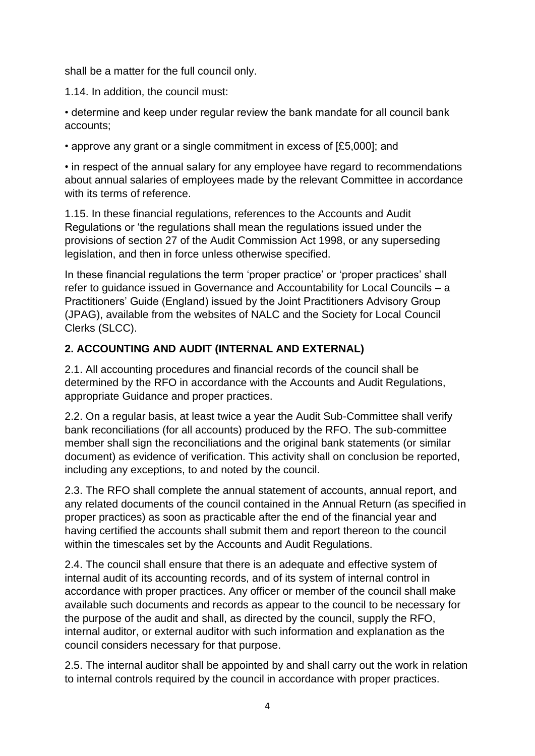shall be a matter for the full council only.

1.14. In addition, the council must:

• determine and keep under regular review the bank mandate for all council bank accounts;

• approve any grant or a single commitment in excess of [£5,000]; and

• in respect of the annual salary for any employee have regard to recommendations about annual salaries of employees made by the relevant Committee in accordance with its terms of reference.

1.15. In these financial regulations, references to the Accounts and Audit Regulations or 'the regulations shall mean the regulations issued under the provisions of section 27 of the Audit Commission Act 1998, or any superseding legislation, and then in force unless otherwise specified.

In these financial regulations the term 'proper practice' or 'proper practices' shall refer to guidance issued in Governance and Accountability for Local Councils – a Practitioners' Guide (England) issued by the Joint Practitioners Advisory Group (JPAG), available from the websites of NALC and the Society for Local Council Clerks (SLCC).

#### **2. ACCOUNTING AND AUDIT (INTERNAL AND EXTERNAL)**

2.1. All accounting procedures and financial records of the council shall be determined by the RFO in accordance with the Accounts and Audit Regulations, appropriate Guidance and proper practices.

2.2. On a regular basis, at least twice a year the Audit Sub-Committee shall verify bank reconciliations (for all accounts) produced by the RFO. The sub-committee member shall sign the reconciliations and the original bank statements (or similar document) as evidence of verification. This activity shall on conclusion be reported, including any exceptions, to and noted by the council.

2.3. The RFO shall complete the annual statement of accounts, annual report, and any related documents of the council contained in the Annual Return (as specified in proper practices) as soon as practicable after the end of the financial year and having certified the accounts shall submit them and report thereon to the council within the timescales set by the Accounts and Audit Regulations.

2.4. The council shall ensure that there is an adequate and effective system of internal audit of its accounting records, and of its system of internal control in accordance with proper practices. Any officer or member of the council shall make available such documents and records as appear to the council to be necessary for the purpose of the audit and shall, as directed by the council, supply the RFO, internal auditor, or external auditor with such information and explanation as the council considers necessary for that purpose.

2.5. The internal auditor shall be appointed by and shall carry out the work in relation to internal controls required by the council in accordance with proper practices.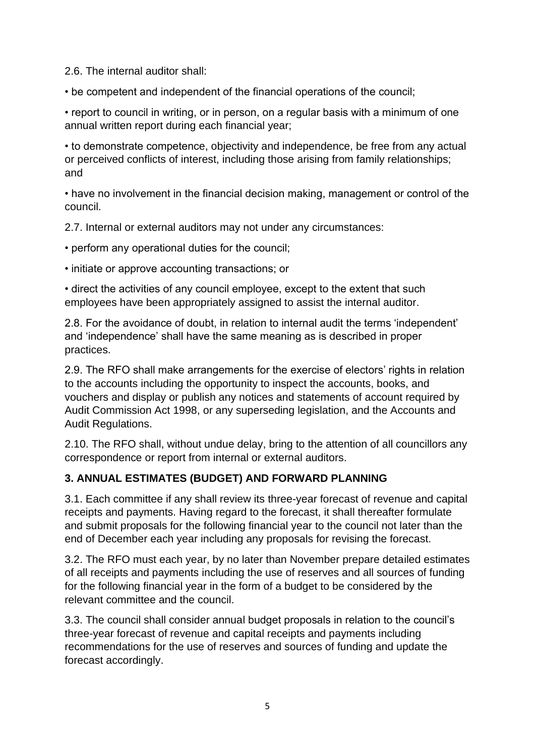2.6. The internal auditor shall:

• be competent and independent of the financial operations of the council;

• report to council in writing, or in person, on a regular basis with a minimum of one annual written report during each financial year;

• to demonstrate competence, objectivity and independence, be free from any actual or perceived conflicts of interest, including those arising from family relationships; and

• have no involvement in the financial decision making, management or control of the council.

2.7. Internal or external auditors may not under any circumstances:

• perform any operational duties for the council;

• initiate or approve accounting transactions; or

• direct the activities of any council employee, except to the extent that such employees have been appropriately assigned to assist the internal auditor.

2.8. For the avoidance of doubt, in relation to internal audit the terms 'independent' and 'independence' shall have the same meaning as is described in proper practices.

2.9. The RFO shall make arrangements for the exercise of electors' rights in relation to the accounts including the opportunity to inspect the accounts, books, and vouchers and display or publish any notices and statements of account required by Audit Commission Act 1998, or any superseding legislation, and the Accounts and Audit Regulations.

2.10. The RFO shall, without undue delay, bring to the attention of all councillors any correspondence or report from internal or external auditors.

## **3. ANNUAL ESTIMATES (BUDGET) AND FORWARD PLANNING**

3.1. Each committee if any shall review its three-year forecast of revenue and capital receipts and payments. Having regard to the forecast, it shall thereafter formulate and submit proposals for the following financial year to the council not later than the end of December each year including any proposals for revising the forecast.

3.2. The RFO must each year, by no later than November prepare detailed estimates of all receipts and payments including the use of reserves and all sources of funding for the following financial year in the form of a budget to be considered by the relevant committee and the council.

3.3. The council shall consider annual budget proposals in relation to the council's three-year forecast of revenue and capital receipts and payments including recommendations for the use of reserves and sources of funding and update the forecast accordingly.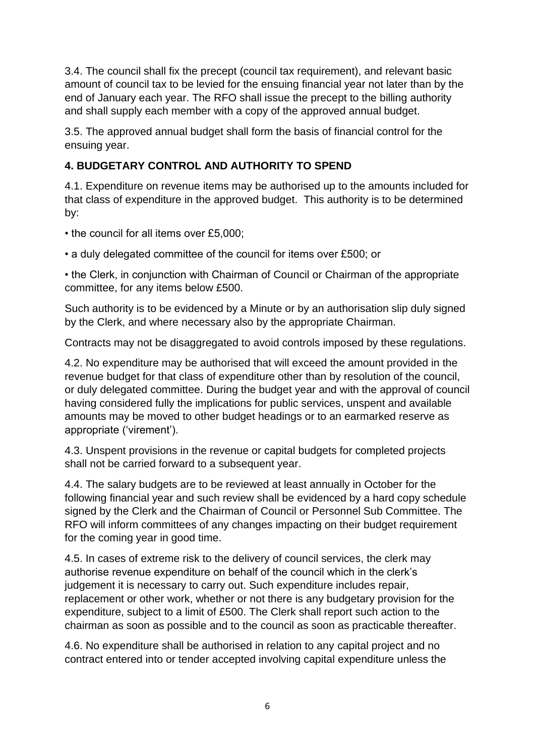3.4. The council shall fix the precept (council tax requirement), and relevant basic amount of council tax to be levied for the ensuing financial year not later than by the end of January each year. The RFO shall issue the precept to the billing authority and shall supply each member with a copy of the approved annual budget.

3.5. The approved annual budget shall form the basis of financial control for the ensuing year.

## **4. BUDGETARY CONTROL AND AUTHORITY TO SPEND**

4.1. Expenditure on revenue items may be authorised up to the amounts included for that class of expenditure in the approved budget. This authority is to be determined by:

• the council for all items over £5,000;

• a duly delegated committee of the council for items over £500; or

• the Clerk, in conjunction with Chairman of Council or Chairman of the appropriate committee, for any items below £500.

Such authority is to be evidenced by a Minute or by an authorisation slip duly signed by the Clerk, and where necessary also by the appropriate Chairman.

Contracts may not be disaggregated to avoid controls imposed by these regulations.

4.2. No expenditure may be authorised that will exceed the amount provided in the revenue budget for that class of expenditure other than by resolution of the council, or duly delegated committee. During the budget year and with the approval of council having considered fully the implications for public services, unspent and available amounts may be moved to other budget headings or to an earmarked reserve as appropriate ('virement').

4.3. Unspent provisions in the revenue or capital budgets for completed projects shall not be carried forward to a subsequent year.

4.4. The salary budgets are to be reviewed at least annually in October for the following financial year and such review shall be evidenced by a hard copy schedule signed by the Clerk and the Chairman of Council or Personnel Sub Committee. The RFO will inform committees of any changes impacting on their budget requirement for the coming year in good time.

4.5. In cases of extreme risk to the delivery of council services, the clerk may authorise revenue expenditure on behalf of the council which in the clerk's judgement it is necessary to carry out. Such expenditure includes repair, replacement or other work, whether or not there is any budgetary provision for the expenditure, subject to a limit of £500. The Clerk shall report such action to the chairman as soon as possible and to the council as soon as practicable thereafter.

4.6. No expenditure shall be authorised in relation to any capital project and no contract entered into or tender accepted involving capital expenditure unless the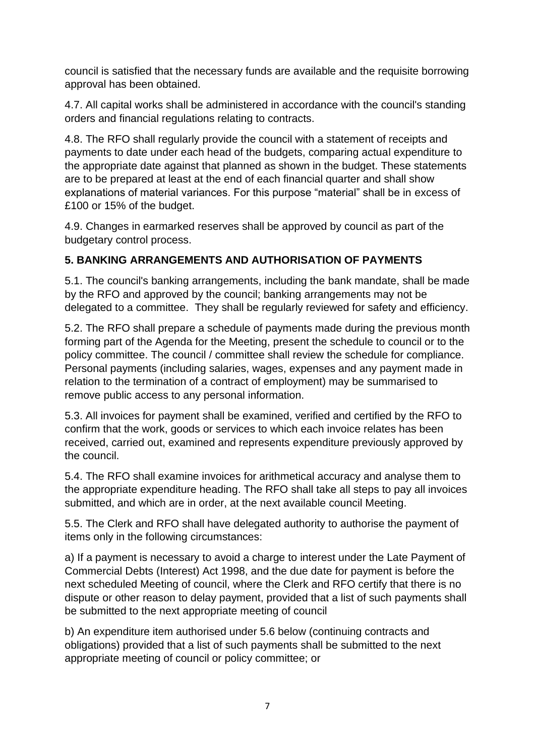council is satisfied that the necessary funds are available and the requisite borrowing approval has been obtained.

4.7. All capital works shall be administered in accordance with the council's standing orders and financial regulations relating to contracts.

4.8. The RFO shall regularly provide the council with a statement of receipts and payments to date under each head of the budgets, comparing actual expenditure to the appropriate date against that planned as shown in the budget. These statements are to be prepared at least at the end of each financial quarter and shall show explanations of material variances. For this purpose "material" shall be in excess of £100 or 15% of the budget.

4.9. Changes in earmarked reserves shall be approved by council as part of the budgetary control process.

#### **5. BANKING ARRANGEMENTS AND AUTHORISATION OF PAYMENTS**

5.1. The council's banking arrangements, including the bank mandate, shall be made by the RFO and approved by the council; banking arrangements may not be delegated to a committee. They shall be regularly reviewed for safety and efficiency.

5.2. The RFO shall prepare a schedule of payments made during the previous month forming part of the Agenda for the Meeting, present the schedule to council or to the policy committee. The council / committee shall review the schedule for compliance. Personal payments (including salaries, wages, expenses and any payment made in relation to the termination of a contract of employment) may be summarised to remove public access to any personal information.

5.3. All invoices for payment shall be examined, verified and certified by the RFO to confirm that the work, goods or services to which each invoice relates has been received, carried out, examined and represents expenditure previously approved by the council.

5.4. The RFO shall examine invoices for arithmetical accuracy and analyse them to the appropriate expenditure heading. The RFO shall take all steps to pay all invoices submitted, and which are in order, at the next available council Meeting.

5.5. The Clerk and RFO shall have delegated authority to authorise the payment of items only in the following circumstances:

a) If a payment is necessary to avoid a charge to interest under the Late Payment of Commercial Debts (Interest) Act 1998, and the due date for payment is before the next scheduled Meeting of council, where the Clerk and RFO certify that there is no dispute or other reason to delay payment, provided that a list of such payments shall be submitted to the next appropriate meeting of council

b) An expenditure item authorised under 5.6 below (continuing contracts and obligations) provided that a list of such payments shall be submitted to the next appropriate meeting of council or policy committee; or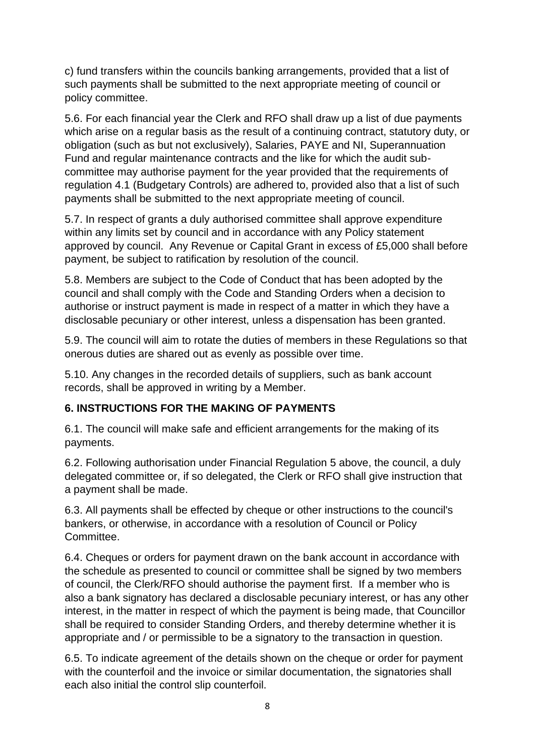c) fund transfers within the councils banking arrangements, provided that a list of such payments shall be submitted to the next appropriate meeting of council or policy committee.

5.6. For each financial year the Clerk and RFO shall draw up a list of due payments which arise on a regular basis as the result of a continuing contract, statutory duty, or obligation (such as but not exclusively), Salaries, PAYE and NI, Superannuation Fund and regular maintenance contracts and the like for which the audit subcommittee may authorise payment for the year provided that the requirements of regulation 4.1 (Budgetary Controls) are adhered to, provided also that a list of such payments shall be submitted to the next appropriate meeting of council.

5.7. In respect of grants a duly authorised committee shall approve expenditure within any limits set by council and in accordance with any Policy statement approved by council. Any Revenue or Capital Grant in excess of £5,000 shall before payment, be subject to ratification by resolution of the council.

5.8. Members are subject to the Code of Conduct that has been adopted by the council and shall comply with the Code and Standing Orders when a decision to authorise or instruct payment is made in respect of a matter in which they have a disclosable pecuniary or other interest, unless a dispensation has been granted.

5.9. The council will aim to rotate the duties of members in these Regulations so that onerous duties are shared out as evenly as possible over time.

5.10. Any changes in the recorded details of suppliers, such as bank account records, shall be approved in writing by a Member.

#### **6. INSTRUCTIONS FOR THE MAKING OF PAYMENTS**

6.1. The council will make safe and efficient arrangements for the making of its payments.

6.2. Following authorisation under Financial Regulation 5 above, the council, a duly delegated committee or, if so delegated, the Clerk or RFO shall give instruction that a payment shall be made.

6.3. All payments shall be effected by cheque or other instructions to the council's bankers, or otherwise, in accordance with a resolution of Council or Policy Committee.

6.4. Cheques or orders for payment drawn on the bank account in accordance with the schedule as presented to council or committee shall be signed by two members of council, the Clerk/RFO should authorise the payment first. If a member who is also a bank signatory has declared a disclosable pecuniary interest, or has any other interest, in the matter in respect of which the payment is being made, that Councillor shall be required to consider Standing Orders, and thereby determine whether it is appropriate and / or permissible to be a signatory to the transaction in question.

6.5. To indicate agreement of the details shown on the cheque or order for payment with the counterfoil and the invoice or similar documentation, the signatories shall each also initial the control slip counterfoil.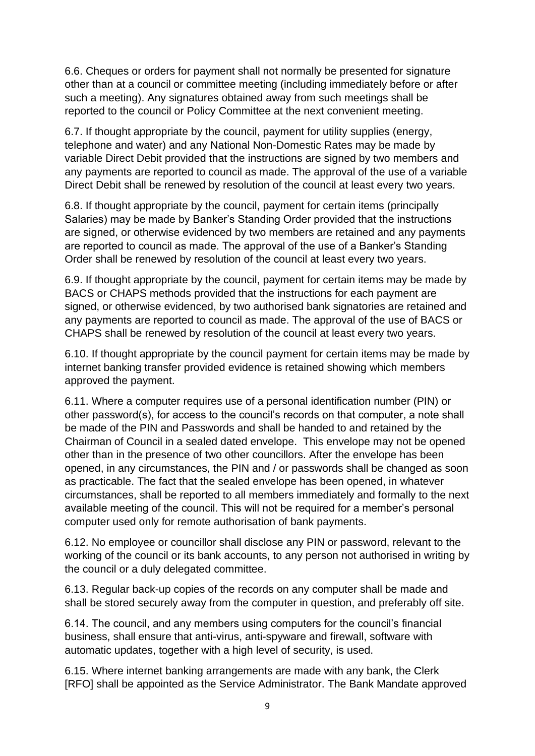6.6. Cheques or orders for payment shall not normally be presented for signature other than at a council or committee meeting (including immediately before or after such a meeting). Any signatures obtained away from such meetings shall be reported to the council or Policy Committee at the next convenient meeting.

6.7. If thought appropriate by the council, payment for utility supplies (energy, telephone and water) and any National Non-Domestic Rates may be made by variable Direct Debit provided that the instructions are signed by two members and any payments are reported to council as made. The approval of the use of a variable Direct Debit shall be renewed by resolution of the council at least every two years.

6.8. If thought appropriate by the council, payment for certain items (principally Salaries) may be made by Banker's Standing Order provided that the instructions are signed, or otherwise evidenced by two members are retained and any payments are reported to council as made. The approval of the use of a Banker's Standing Order shall be renewed by resolution of the council at least every two years.

6.9. If thought appropriate by the council, payment for certain items may be made by BACS or CHAPS methods provided that the instructions for each payment are signed, or otherwise evidenced, by two authorised bank signatories are retained and any payments are reported to council as made. The approval of the use of BACS or CHAPS shall be renewed by resolution of the council at least every two years.

6.10. If thought appropriate by the council payment for certain items may be made by internet banking transfer provided evidence is retained showing which members approved the payment.

6.11. Where a computer requires use of a personal identification number (PIN) or other password(s), for access to the council's records on that computer, a note shall be made of the PIN and Passwords and shall be handed to and retained by the Chairman of Council in a sealed dated envelope. This envelope may not be opened other than in the presence of two other councillors. After the envelope has been opened, in any circumstances, the PIN and / or passwords shall be changed as soon as practicable. The fact that the sealed envelope has been opened, in whatever circumstances, shall be reported to all members immediately and formally to the next available meeting of the council. This will not be required for a member's personal computer used only for remote authorisation of bank payments.

6.12. No employee or councillor shall disclose any PIN or password, relevant to the working of the council or its bank accounts, to any person not authorised in writing by the council or a duly delegated committee.

6.13. Regular back-up copies of the records on any computer shall be made and shall be stored securely away from the computer in question, and preferably off site.

6.14. The council, and any members using computers for the council's financial business, shall ensure that anti-virus, anti-spyware and firewall, software with automatic updates, together with a high level of security, is used.

6.15. Where internet banking arrangements are made with any bank, the Clerk [RFO] shall be appointed as the Service Administrator. The Bank Mandate approved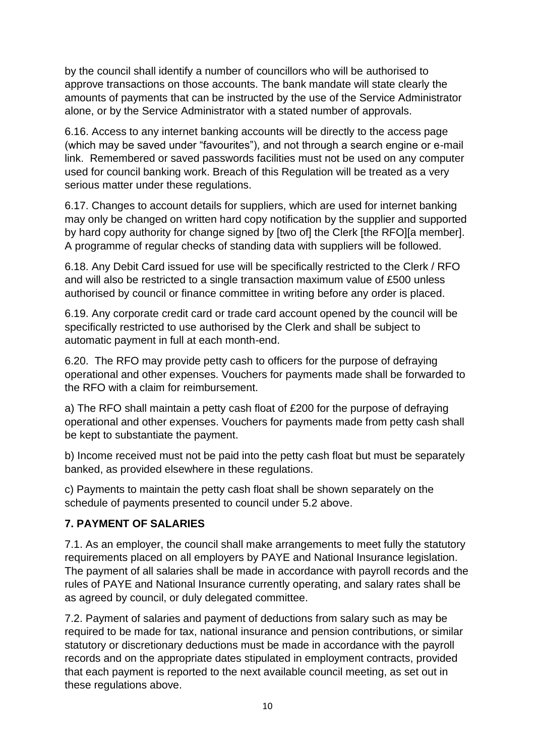by the council shall identify a number of councillors who will be authorised to approve transactions on those accounts. The bank mandate will state clearly the amounts of payments that can be instructed by the use of the Service Administrator alone, or by the Service Administrator with a stated number of approvals.

6.16. Access to any internet banking accounts will be directly to the access page (which may be saved under "favourites"), and not through a search engine or e-mail link. Remembered or saved passwords facilities must not be used on any computer used for council banking work. Breach of this Regulation will be treated as a very serious matter under these regulations.

6.17. Changes to account details for suppliers, which are used for internet banking may only be changed on written hard copy notification by the supplier and supported by hard copy authority for change signed by [two of] the Clerk [the RFO][a member]. A programme of regular checks of standing data with suppliers will be followed.

6.18. Any Debit Card issued for use will be specifically restricted to the Clerk / RFO and will also be restricted to a single transaction maximum value of £500 unless authorised by council or finance committee in writing before any order is placed.

6.19. Any corporate credit card or trade card account opened by the council will be specifically restricted to use authorised by the Clerk and shall be subject to automatic payment in full at each month-end.

6.20. The RFO may provide petty cash to officers for the purpose of defraying operational and other expenses. Vouchers for payments made shall be forwarded to the RFO with a claim for reimbursement.

a) The RFO shall maintain a petty cash float of £200 for the purpose of defraying operational and other expenses. Vouchers for payments made from petty cash shall be kept to substantiate the payment.

b) Income received must not be paid into the petty cash float but must be separately banked, as provided elsewhere in these regulations.

c) Payments to maintain the petty cash float shall be shown separately on the schedule of payments presented to council under 5.2 above.

## **7. PAYMENT OF SALARIES**

7.1. As an employer, the council shall make arrangements to meet fully the statutory requirements placed on all employers by PAYE and National Insurance legislation. The payment of all salaries shall be made in accordance with payroll records and the rules of PAYE and National Insurance currently operating, and salary rates shall be as agreed by council, or duly delegated committee.

7.2. Payment of salaries and payment of deductions from salary such as may be required to be made for tax, national insurance and pension contributions, or similar statutory or discretionary deductions must be made in accordance with the payroll records and on the appropriate dates stipulated in employment contracts, provided that each payment is reported to the next available council meeting, as set out in these regulations above.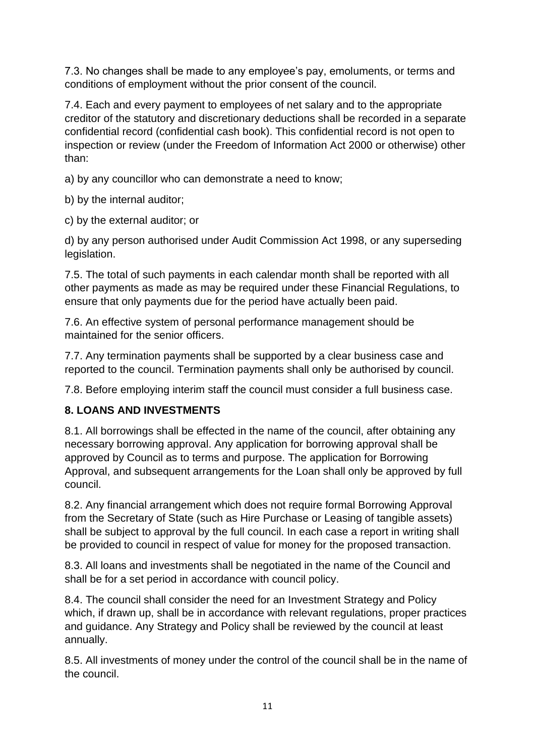7.3. No changes shall be made to any employee's pay, emoluments, or terms and conditions of employment without the prior consent of the council.

7.4. Each and every payment to employees of net salary and to the appropriate creditor of the statutory and discretionary deductions shall be recorded in a separate confidential record (confidential cash book). This confidential record is not open to inspection or review (under the Freedom of Information Act 2000 or otherwise) other than:

a) by any councillor who can demonstrate a need to know;

b) by the internal auditor;

c) by the external auditor; or

d) by any person authorised under Audit Commission Act 1998, or any superseding legislation.

7.5. The total of such payments in each calendar month shall be reported with all other payments as made as may be required under these Financial Regulations, to ensure that only payments due for the period have actually been paid.

7.6. An effective system of personal performance management should be maintained for the senior officers.

7.7. Any termination payments shall be supported by a clear business case and reported to the council. Termination payments shall only be authorised by council.

7.8. Before employing interim staff the council must consider a full business case.

## **8. LOANS AND INVESTMENTS**

8.1. All borrowings shall be effected in the name of the council, after obtaining any necessary borrowing approval. Any application for borrowing approval shall be approved by Council as to terms and purpose. The application for Borrowing Approval, and subsequent arrangements for the Loan shall only be approved by full council.

8.2. Any financial arrangement which does not require formal Borrowing Approval from the Secretary of State (such as Hire Purchase or Leasing of tangible assets) shall be subject to approval by the full council. In each case a report in writing shall be provided to council in respect of value for money for the proposed transaction.

8.3. All loans and investments shall be negotiated in the name of the Council and shall be for a set period in accordance with council policy.

8.4. The council shall consider the need for an Investment Strategy and Policy which, if drawn up, shall be in accordance with relevant regulations, proper practices and guidance. Any Strategy and Policy shall be reviewed by the council at least annually.

8.5. All investments of money under the control of the council shall be in the name of the council.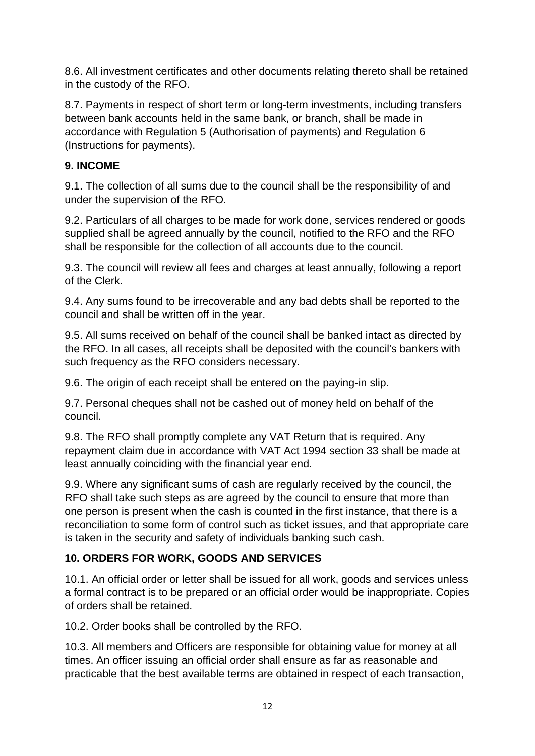8.6. All investment certificates and other documents relating thereto shall be retained in the custody of the RFO.

8.7. Payments in respect of short term or long-term investments, including transfers between bank accounts held in the same bank, or branch, shall be made in accordance with Regulation 5 (Authorisation of payments) and Regulation 6 (Instructions for payments).

#### **9. INCOME**

9.1. The collection of all sums due to the council shall be the responsibility of and under the supervision of the RFO.

9.2. Particulars of all charges to be made for work done, services rendered or goods supplied shall be agreed annually by the council, notified to the RFO and the RFO shall be responsible for the collection of all accounts due to the council.

9.3. The council will review all fees and charges at least annually, following a report of the Clerk.

9.4. Any sums found to be irrecoverable and any bad debts shall be reported to the council and shall be written off in the year.

9.5. All sums received on behalf of the council shall be banked intact as directed by the RFO. In all cases, all receipts shall be deposited with the council's bankers with such frequency as the RFO considers necessary.

9.6. The origin of each receipt shall be entered on the paying-in slip.

9.7. Personal cheques shall not be cashed out of money held on behalf of the council.

9.8. The RFO shall promptly complete any VAT Return that is required. Any repayment claim due in accordance with VAT Act 1994 section 33 shall be made at least annually coinciding with the financial year end.

9.9. Where any significant sums of cash are regularly received by the council, the RFO shall take such steps as are agreed by the council to ensure that more than one person is present when the cash is counted in the first instance, that there is a reconciliation to some form of control such as ticket issues, and that appropriate care is taken in the security and safety of individuals banking such cash.

## **10. ORDERS FOR WORK, GOODS AND SERVICES**

10.1. An official order or letter shall be issued for all work, goods and services unless a formal contract is to be prepared or an official order would be inappropriate. Copies of orders shall be retained.

10.2. Order books shall be controlled by the RFO.

10.3. All members and Officers are responsible for obtaining value for money at all times. An officer issuing an official order shall ensure as far as reasonable and practicable that the best available terms are obtained in respect of each transaction,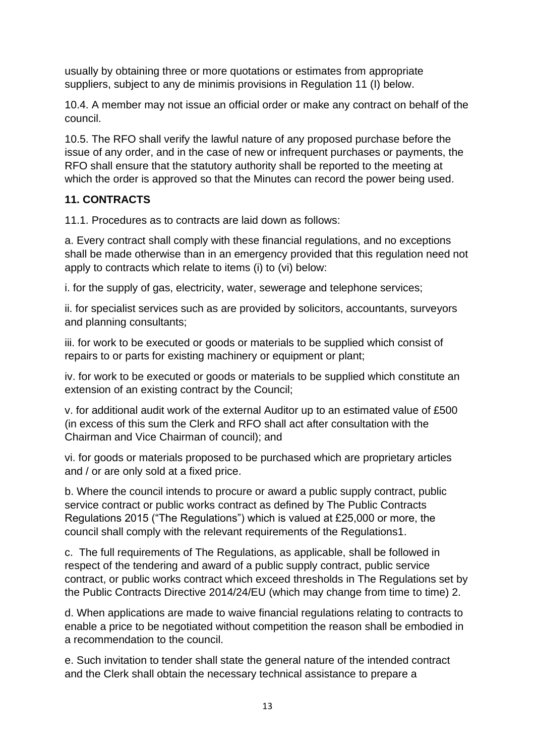usually by obtaining three or more quotations or estimates from appropriate suppliers, subject to any de minimis provisions in Regulation 11 (I) below.

10.4. A member may not issue an official order or make any contract on behalf of the council.

10.5. The RFO shall verify the lawful nature of any proposed purchase before the issue of any order, and in the case of new or infrequent purchases or payments, the RFO shall ensure that the statutory authority shall be reported to the meeting at which the order is approved so that the Minutes can record the power being used.

## **11. CONTRACTS**

11.1. Procedures as to contracts are laid down as follows:

a. Every contract shall comply with these financial regulations, and no exceptions shall be made otherwise than in an emergency provided that this regulation need not apply to contracts which relate to items (i) to (vi) below:

i. for the supply of gas, electricity, water, sewerage and telephone services;

ii. for specialist services such as are provided by solicitors, accountants, surveyors and planning consultants;

iii. for work to be executed or goods or materials to be supplied which consist of repairs to or parts for existing machinery or equipment or plant;

iv. for work to be executed or goods or materials to be supplied which constitute an extension of an existing contract by the Council;

v. for additional audit work of the external Auditor up to an estimated value of £500 (in excess of this sum the Clerk and RFO shall act after consultation with the Chairman and Vice Chairman of council); and

vi. for goods or materials proposed to be purchased which are proprietary articles and / or are only sold at a fixed price.

b. Where the council intends to procure or award a public supply contract, public service contract or public works contract as defined by The Public Contracts Regulations 2015 ("The Regulations") which is valued at £25,000 or more, the council shall comply with the relevant requirements of the Regulations1.

c. The full requirements of The Regulations, as applicable, shall be followed in respect of the tendering and award of a public supply contract, public service contract, or public works contract which exceed thresholds in The Regulations set by the Public Contracts Directive 2014/24/EU (which may change from time to time) 2.

d. When applications are made to waive financial regulations relating to contracts to enable a price to be negotiated without competition the reason shall be embodied in a recommendation to the council.

e. Such invitation to tender shall state the general nature of the intended contract and the Clerk shall obtain the necessary technical assistance to prepare a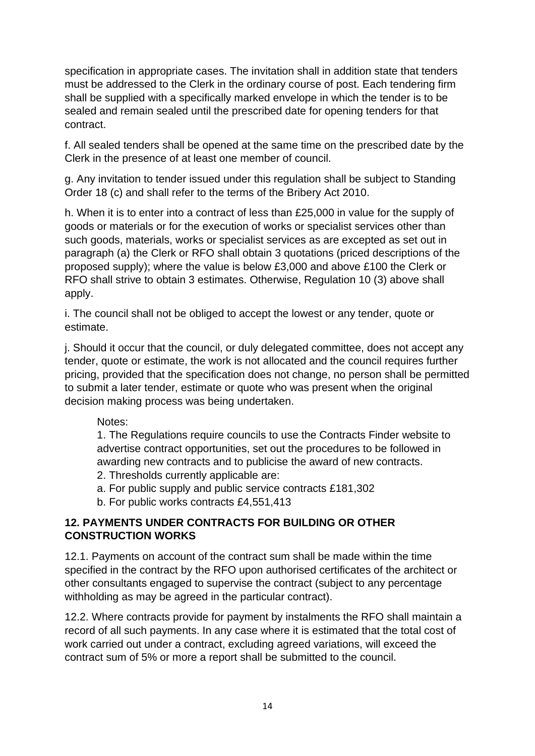specification in appropriate cases. The invitation shall in addition state that tenders must be addressed to the Clerk in the ordinary course of post. Each tendering firm shall be supplied with a specifically marked envelope in which the tender is to be sealed and remain sealed until the prescribed date for opening tenders for that contract.

f. All sealed tenders shall be opened at the same time on the prescribed date by the Clerk in the presence of at least one member of council.

g. Any invitation to tender issued under this regulation shall be subject to Standing Order 18 (c) and shall refer to the terms of the Bribery Act 2010.

h. When it is to enter into a contract of less than £25,000 in value for the supply of goods or materials or for the execution of works or specialist services other than such goods, materials, works or specialist services as are excepted as set out in paragraph (a) the Clerk or RFO shall obtain 3 quotations (priced descriptions of the proposed supply); where the value is below £3,000 and above £100 the Clerk or RFO shall strive to obtain 3 estimates. Otherwise, Regulation 10 (3) above shall apply.

i. The council shall not be obliged to accept the lowest or any tender, quote or estimate.

j. Should it occur that the council, or duly delegated committee, does not accept any tender, quote or estimate, the work is not allocated and the council requires further pricing, provided that the specification does not change, no person shall be permitted to submit a later tender, estimate or quote who was present when the original decision making process was being undertaken.

Notes:

1. The Regulations require councils to use the Contracts Finder website to advertise contract opportunities, set out the procedures to be followed in awarding new contracts and to publicise the award of new contracts.

- 2. Thresholds currently applicable are:
- a. For public supply and public service contracts £181,302
- b. For public works contracts £4,551,413

#### **12. PAYMENTS UNDER CONTRACTS FOR BUILDING OR OTHER CONSTRUCTION WORKS**

12.1. Payments on account of the contract sum shall be made within the time specified in the contract by the RFO upon authorised certificates of the architect or other consultants engaged to supervise the contract (subject to any percentage withholding as may be agreed in the particular contract).

12.2. Where contracts provide for payment by instalments the RFO shall maintain a record of all such payments. In any case where it is estimated that the total cost of work carried out under a contract, excluding agreed variations, will exceed the contract sum of 5% or more a report shall be submitted to the council.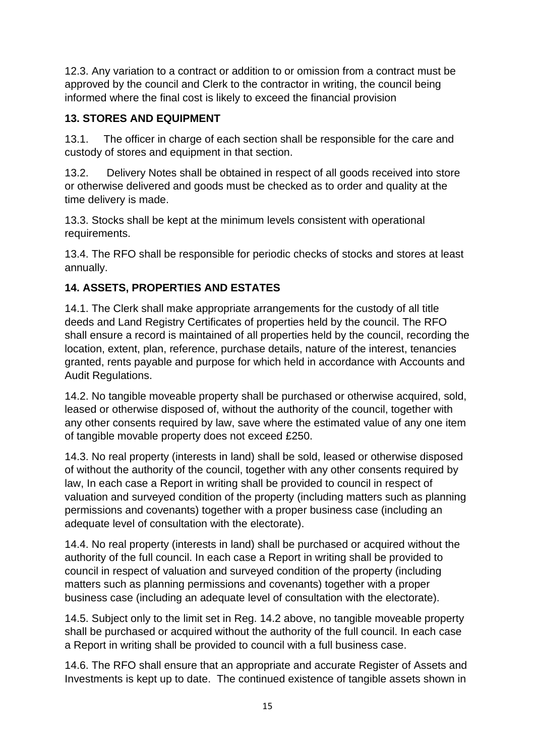12.3. Any variation to a contract or addition to or omission from a contract must be approved by the council and Clerk to the contractor in writing, the council being informed where the final cost is likely to exceed the financial provision

## **13. STORES AND EQUIPMENT**

13.1. The officer in charge of each section shall be responsible for the care and custody of stores and equipment in that section.

13.2. Delivery Notes shall be obtained in respect of all goods received into store or otherwise delivered and goods must be checked as to order and quality at the time delivery is made.

13.3. Stocks shall be kept at the minimum levels consistent with operational requirements.

13.4. The RFO shall be responsible for periodic checks of stocks and stores at least annually.

## **14. ASSETS, PROPERTIES AND ESTATES**

14.1. The Clerk shall make appropriate arrangements for the custody of all title deeds and Land Registry Certificates of properties held by the council. The RFO shall ensure a record is maintained of all properties held by the council, recording the location, extent, plan, reference, purchase details, nature of the interest, tenancies granted, rents payable and purpose for which held in accordance with Accounts and Audit Regulations.

14.2. No tangible moveable property shall be purchased or otherwise acquired, sold, leased or otherwise disposed of, without the authority of the council, together with any other consents required by law, save where the estimated value of any one item of tangible movable property does not exceed £250.

14.3. No real property (interests in land) shall be sold, leased or otherwise disposed of without the authority of the council, together with any other consents required by law, In each case a Report in writing shall be provided to council in respect of valuation and surveyed condition of the property (including matters such as planning permissions and covenants) together with a proper business case (including an adequate level of consultation with the electorate).

14.4. No real property (interests in land) shall be purchased or acquired without the authority of the full council. In each case a Report in writing shall be provided to council in respect of valuation and surveyed condition of the property (including matters such as planning permissions and covenants) together with a proper business case (including an adequate level of consultation with the electorate).

14.5. Subject only to the limit set in Reg. 14.2 above, no tangible moveable property shall be purchased or acquired without the authority of the full council. In each case a Report in writing shall be provided to council with a full business case.

14.6. The RFO shall ensure that an appropriate and accurate Register of Assets and Investments is kept up to date. The continued existence of tangible assets shown in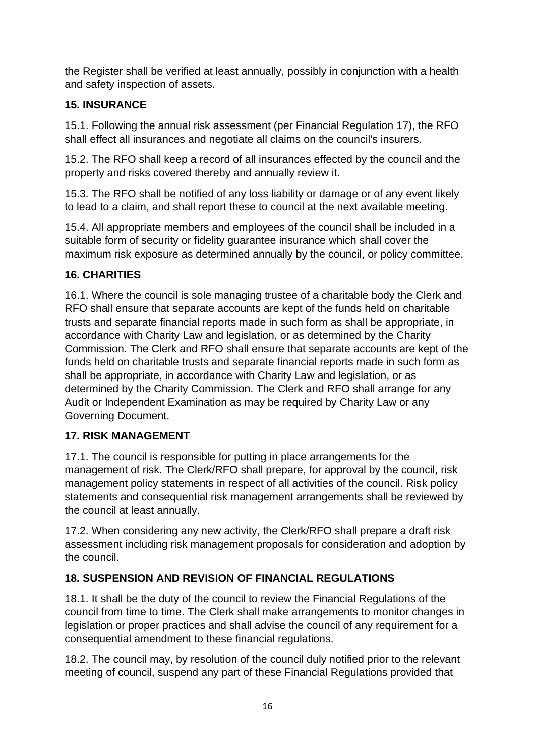the Register shall be verified at least annually, possibly in conjunction with a health and safety inspection of assets.

# **15. INSURANCE**

15.1. Following the annual risk assessment (per Financial Regulation 17), the RFO shall effect all insurances and negotiate all claims on the council's insurers.

15.2. The RFO shall keep a record of all insurances effected by the council and the property and risks covered thereby and annually review it.

15.3. The RFO shall be notified of any loss liability or damage or of any event likely to lead to a claim, and shall report these to council at the next available meeting.

15.4. All appropriate members and employees of the council shall be included in a suitable form of security or fidelity guarantee insurance which shall cover the maximum risk exposure as determined annually by the council, or policy committee.

# **16. CHARITIES**

16.1. Where the council is sole managing trustee of a charitable body the Clerk and RFO shall ensure that separate accounts are kept of the funds held on charitable trusts and separate financial reports made in such form as shall be appropriate, in accordance with Charity Law and legislation, or as determined by the Charity Commission. The Clerk and RFO shall ensure that separate accounts are kept of the funds held on charitable trusts and separate financial reports made in such form as shall be appropriate, in accordance with Charity Law and legislation, or as determined by the Charity Commission. The Clerk and RFO shall arrange for any Audit or Independent Examination as may be required by Charity Law or any Governing Document.

# **17. RISK MANAGEMENT**

17.1. The council is responsible for putting in place arrangements for the management of risk. The Clerk/RFO shall prepare, for approval by the council, risk management policy statements in respect of all activities of the council. Risk policy statements and consequential risk management arrangements shall be reviewed by the council at least annually.

17.2. When considering any new activity, the Clerk/RFO shall prepare a draft risk assessment including risk management proposals for consideration and adoption by the council.

# **18. SUSPENSION AND REVISION OF FINANCIAL REGULATIONS**

18.1. It shall be the duty of the council to review the Financial Regulations of the council from time to time. The Clerk shall make arrangements to monitor changes in legislation or proper practices and shall advise the council of any requirement for a consequential amendment to these financial regulations.

18.2. The council may, by resolution of the council duly notified prior to the relevant meeting of council, suspend any part of these Financial Regulations provided that